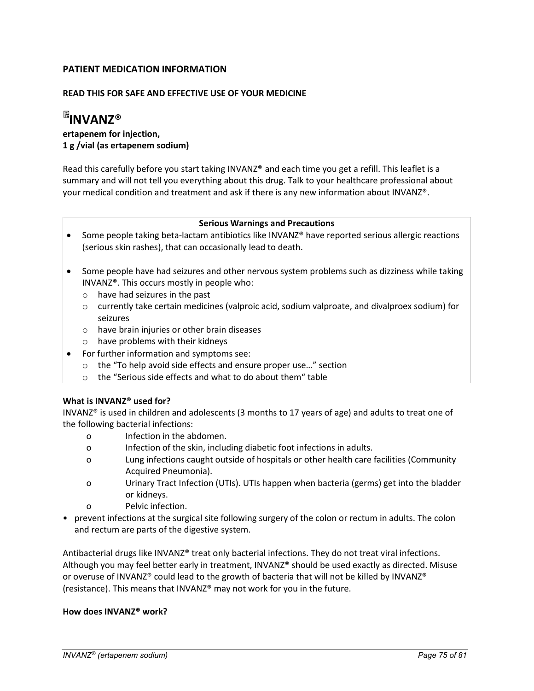# PATIENT MEDICATION INFORMATION

## READ THIS FOR SAFE AND EFFECTIVE USE OF YOUR MEDICINE

# **EINVANZ®**

# ertapenem for injection, 1 g /vial (as ertapenem sodium)

Read this carefully before you start taking INVANZ® and each time you get a refill. This leaflet is a summary and will not tell you everything about this drug. Talk to your healthcare professional about your medical condition and treatment and ask if there is any new information about INVANZ®.

#### Serious Warnings and Precautions

- Some people taking beta-lactam antibiotics like INVANZ<sup>®</sup> have reported serious allergic reactions (serious skin rashes), that can occasionally lead to death.
- Some people have had seizures and other nervous system problems such as dizziness while taking INVANZ®. This occurs mostly in people who:
	- o have had seizures in the past
	- o currently take certain medicines (valproic acid, sodium valproate, and divalproex sodium) for seizures
	- o have brain injuries or other brain diseases
	- o have problems with their kidneys
- For further information and symptoms see:
	- o the "To help avoid side effects and ensure proper use…" section
	- o the "Serious side effects and what to do about them " table

## What is INVANZ® used for?

INVANZ® is used in children and adolescents (3 months to 17 years of age) and adults to treat one of the following bacterial infections:

- o Infection in the abdomen.
- o Infection of the skin, including diabetic foot infections in adults.
- o Lung infections caught outside of hospitals or other health care facilities (Community Acquired Pneumonia).
- o Urinary Tract Infection (UTIs). UTIs happen when bacteria (germs) get into the bladder or kidneys.
- o Pelvic infection.
- prevent infections at the surgical site following surgery of the colon or rectum in adults. The colon and rectum are parts of the digestive system.

Antibacterial drugs like INVANZ® treat only bacterial infections. They do not treat viral infections. Although you may feel better early in treatment, INVANZ® should be used exactly as directed. Misuse or overuse of INVANZ® could lead to the growth of bacteria that will not be killed by INVANZ® (resistance). This means that INVANZ® may not work for you in the future.

## How does INVANZ® work?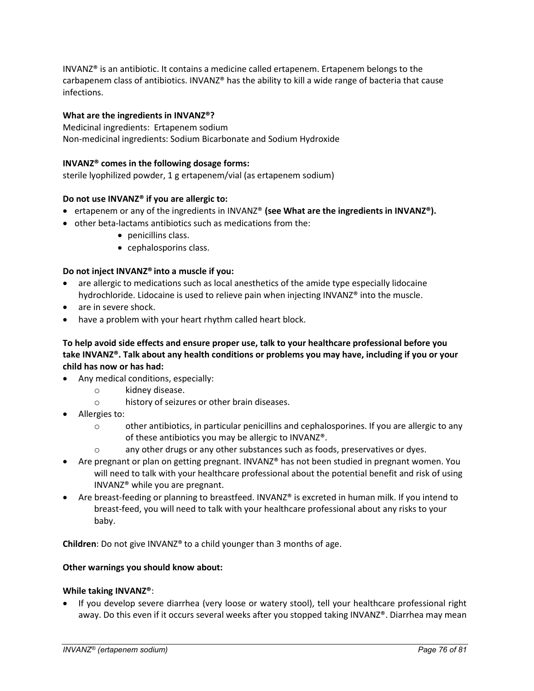INVANZ® is an antibiotic. It contains a medicine called ertapenem. Ertapenem belongs to the carbapenem class of antibiotics. INVANZ® has the ability to kill a wide range of bacteria that cause infections.

## What are the ingredients in INVANZ®?

Medicinal ingredients: Ertapenem sodium Non-medicinal ingredients: Sodium Bicarbonate and Sodium Hydroxide

## INVANZ® comes in the following dosage forms:

sterile lyophilized powder, 1 g ertapenem/vial (as ertapenem sodium)

## Do not use INVANZ® if you are allergic to:

- ertapenem or any of the ingredients in INVANZ<sup>®</sup> (see What are the ingredients in INVANZ<sup>®</sup>).
- other beta-lactams antibiotics such as medications from the:
	- penicillins class.
	- cephalosporins class.

## Do not inject INVANZ® into a muscle if you:

- are allergic to medications such as local anesthetics of the amide type especially lidocaine hydrochloride. Lidocaine is used to relieve pain when injecting INVANZ® into the muscle.
- are in severe shock.
- have a problem with your heart rhythm called heart block.

## To help avoid side effects and ensure proper use, talk to your healthcare professional before you take INVANZ®. Talk about any health conditions or problems you may have, including if you or your child has now or has had:

- Any medical conditions, especially:
	- o kidney disease.
	- o history of seizures or other brain diseases.
- Allergies to:
	- o other antibiotics, in particular penicillins and cephalosporines. If you are allergic to any of these antibiotics you may be allergic to INVANZ®.
	- o any other drugs or any other substances such as foods, preservatives or dyes.
- Are pregnant or plan on getting pregnant. INVANZ® has not been studied in pregnant women. You will need to talk with your healthcare professional about the potential benefit and risk of using INVANZ® while you are pregnant.
- Are breast-feeding or planning to breastfeed. INVANZ® is excreted in human milk. If you intend to breast-feed, you will need to talk with your healthcare professional about any risks to your baby.

Children: Do not give INVANZ® to a child younger than 3 months of age.

## Other warnings you should know about:

## While taking INVANZ®:

• If you develop severe diarrhea (very loose or watery stool), tell your healthcare professional right away. Do this even if it occurs several weeks after you stopped taking INVANZ®. Diarrhea may mean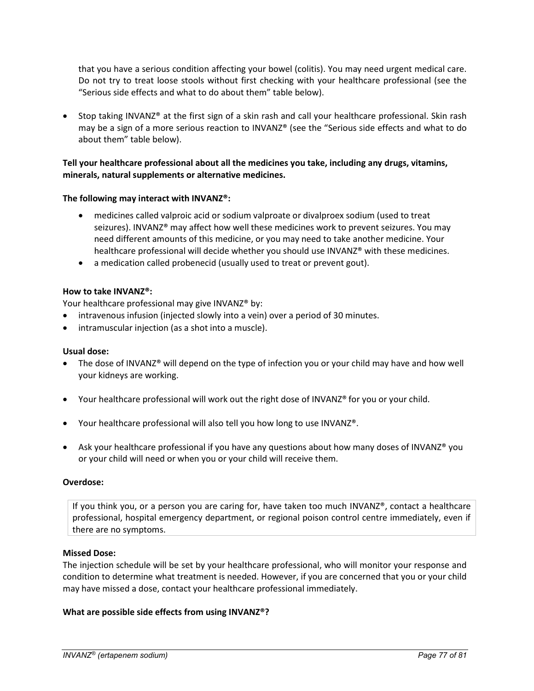that you have a serious condition affecting your bowel (colitis). You may need urgent medical care. Do not try to treat loose stools without first checking with your healthcare professional (see the "Serious side effects and what to do about them" table below).

• Stop taking INVANZ® at the first sign of a skin rash and call your healthcare professional. Skin rash may be a sign of a more serious reaction to INVANZ® (see the "Serious side effects and what to do about them" table below).

## Tell your healthcare professional about all the medicines you take, including any drugs, vitamins, minerals, natural supplements or alternative medicines.

## The following may interact with INVANZ®:

- medicines called valproic acid or sodium valproate or divalproex sodium (used to treat seizures). INVANZ® may affect how well these medicines work to prevent seizures. You may need different amounts of this medicine, or you may need to take another medicine. Your healthcare professional will decide whether you should use INVANZ® with these medicines.
- a medication called probenecid (usually used to treat or prevent gout).

## How to take INVANZ®:

Your healthcare professional may give INVANZ<sup>®</sup> by:

- intravenous infusion (injected slowly into a vein) over a period of 30 minutes.
- intramuscular injection (as a shot into a muscle).

## Usual dose:

- The dose of INVANZ<sup>®</sup> will depend on the type of infection you or your child may have and how well your kidneys are working.
- Your healthcare professional will work out the right dose of INVANZ® for you or your child.
- Your healthcare professional will also tell you how long to use INVANZ<sup>®</sup>.
- Ask your healthcare professional if you have any questions about how many doses of INVANZ<sup>®</sup> you or your child will need or when you or your child will receive them.

## Overdose:

If you think you, or a person you are caring for, have taken too much INVANZ®, contact a healthcare professional, hospital emergency department, or regional poison control centre immediately, even if there are no symptoms.

#### Missed Dose:

The injection schedule will be set by your healthcare professional, who will monitor your response and condition to determine what treatment is needed. However, if you are concerned that you or your child may have missed a dose, contact your healthcare professional immediately.

## What are possible side effects from using INVANZ®?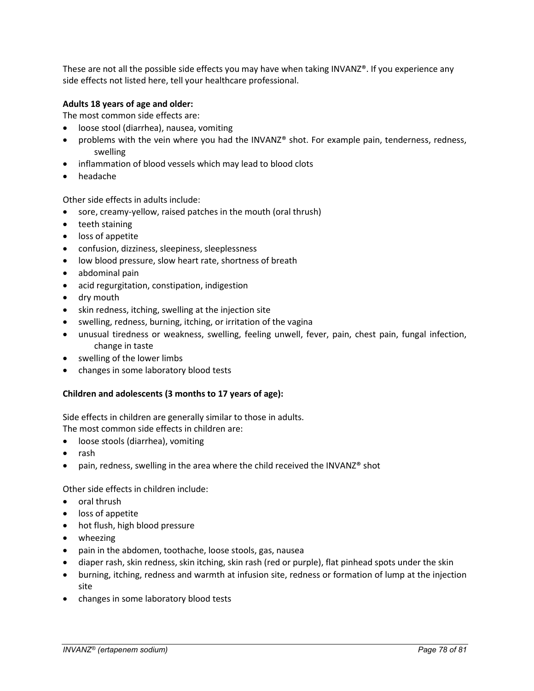These are not all the possible side effects you may have when taking INVANZ®. If you experience any side effects not listed here, tell your healthcare professional.

## Adults 18 years of age and older:

The most common side effects are:

- loose stool (diarrhea), nausea, vomiting
- problems with the vein where you had the INVANZ® shot. For example pain, tenderness, redness, swelling
- inflammation of blood vessels which may lead to blood clots
- headache

Other side effects in adults include:

- sore, creamy-yellow, raised patches in the mouth (oral thrush)
- teeth staining
- loss of appetite
- confusion, dizziness, sleepiness, sleeplessness
- low blood pressure, slow heart rate, shortness of breath
- abdominal pain
- acid regurgitation, constipation, indigestion
- dry mouth
- skin redness, itching, swelling at the injection site
- swelling, redness, burning, itching, or irritation of the vagina
- unusual tiredness or weakness, swelling, feeling unwell, fever, pain, chest pain, fungal infection, change in taste
- swelling of the lower limbs
- changes in some laboratory blood tests

## Children and adolescents (3 months to 17 years of age):

Side effects in children are generally similar to those in adults. The most common side effects in children are:

- loose stools (diarrhea), vomiting
- rash
- pain, redness, swelling in the area where the child received the INVANZ® shot

## Other side effects in children include:

- oral thrush
- loss of appetite
- hot flush, high blood pressure
- wheezing
- pain in the abdomen, toothache, loose stools, gas, nausea
- diaper rash, skin redness, skin itching, skin rash (red or purple), flat pinhead spots under the skin
- burning, itching, redness and warmth at infusion site, redness or formation of lump at the injection site
- changes in some laboratory blood tests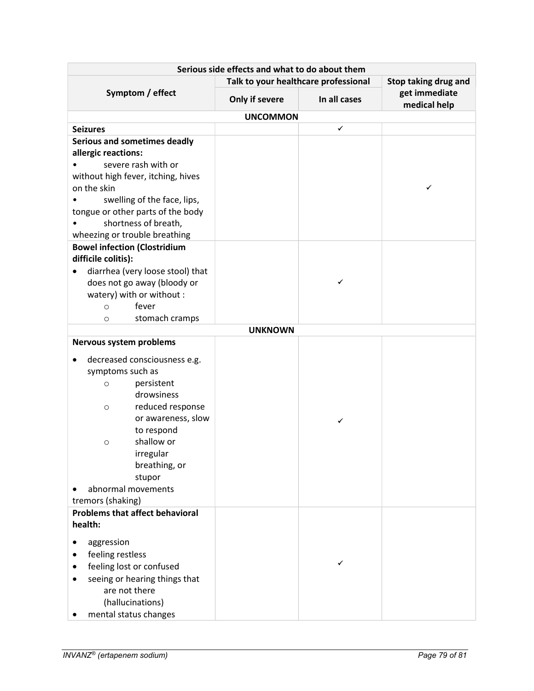| Serious side effects and what to do about them                             |                                      |              |                               |  |  |
|----------------------------------------------------------------------------|--------------------------------------|--------------|-------------------------------|--|--|
| Symptom / effect                                                           | Talk to your healthcare professional |              | Stop taking drug and          |  |  |
|                                                                            | Only if severe                       | In all cases | get immediate<br>medical help |  |  |
|                                                                            | <b>UNCOMMON</b>                      |              |                               |  |  |
| <b>Seizures</b>                                                            |                                      | ✓            |                               |  |  |
| Serious and sometimes deadly<br>allergic reactions:<br>severe rash with or |                                      |              |                               |  |  |
| without high fever, itching, hives<br>on the skin                          |                                      |              | ✓                             |  |  |
| swelling of the face, lips,                                                |                                      |              |                               |  |  |
| tongue or other parts of the body                                          |                                      |              |                               |  |  |
| shortness of breath,                                                       |                                      |              |                               |  |  |
| wheezing or trouble breathing                                              |                                      |              |                               |  |  |
| <b>Bowel infection (Clostridium</b>                                        |                                      |              |                               |  |  |
| difficile colitis):                                                        |                                      |              |                               |  |  |
| diarrhea (very loose stool) that                                           |                                      | ✓            |                               |  |  |
| does not go away (bloody or                                                |                                      |              |                               |  |  |
| watery) with or without :<br>fever<br>$\circ$                              |                                      |              |                               |  |  |
| stomach cramps<br>$\circ$                                                  |                                      |              |                               |  |  |
|                                                                            | <b>UNKNOWN</b>                       |              |                               |  |  |
| Nervous system problems                                                    |                                      |              |                               |  |  |
|                                                                            |                                      |              |                               |  |  |
| decreased consciousness e.g.<br>symptoms such as                           |                                      |              |                               |  |  |
| persistent<br>$\circ$                                                      |                                      |              |                               |  |  |
| drowsiness                                                                 |                                      |              |                               |  |  |
| reduced response<br>$\circ$                                                |                                      |              |                               |  |  |
| or awareness, slow                                                         |                                      | ✓            |                               |  |  |
| to respond                                                                 |                                      |              |                               |  |  |
| shallow or<br>$\circ$                                                      |                                      |              |                               |  |  |
| irregular                                                                  |                                      |              |                               |  |  |
| breathing, or                                                              |                                      |              |                               |  |  |
| stupor                                                                     |                                      |              |                               |  |  |
| abnormal movements                                                         |                                      |              |                               |  |  |
| tremors (shaking)                                                          |                                      |              |                               |  |  |
| <b>Problems that affect behavioral</b><br>health:                          |                                      |              |                               |  |  |
|                                                                            |                                      |              |                               |  |  |
| aggression                                                                 |                                      |              |                               |  |  |
| feeling restless                                                           |                                      | ✓            |                               |  |  |
| feeling lost or confused                                                   |                                      |              |                               |  |  |
| seeing or hearing things that<br>are not there                             |                                      |              |                               |  |  |
| (hallucinations)                                                           |                                      |              |                               |  |  |
| mental status changes                                                      |                                      |              |                               |  |  |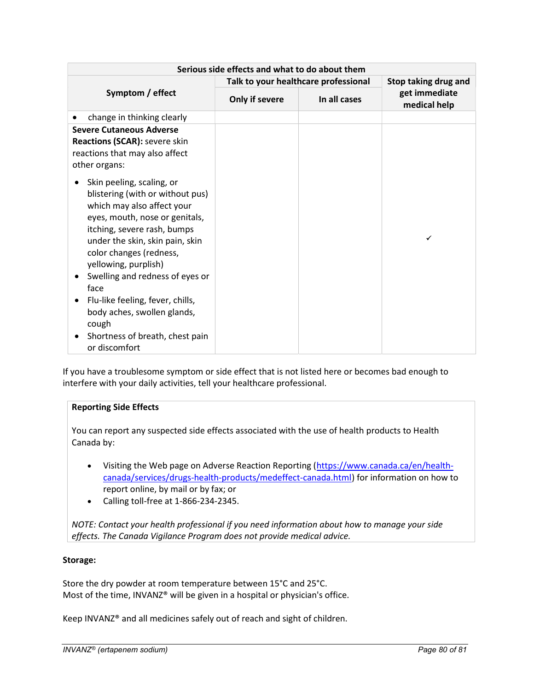| Serious side effects and what to do about them                                                                                                                                                                                                                                                                                                                                                                                |                                      |              |                               |  |
|-------------------------------------------------------------------------------------------------------------------------------------------------------------------------------------------------------------------------------------------------------------------------------------------------------------------------------------------------------------------------------------------------------------------------------|--------------------------------------|--------------|-------------------------------|--|
| Symptom / effect                                                                                                                                                                                                                                                                                                                                                                                                              | Talk to your healthcare professional |              | Stop taking drug and          |  |
|                                                                                                                                                                                                                                                                                                                                                                                                                               | Only if severe                       | In all cases | get immediate<br>medical help |  |
| change in thinking clearly                                                                                                                                                                                                                                                                                                                                                                                                    |                                      |              |                               |  |
| <b>Severe Cutaneous Adverse</b><br>Reactions (SCAR): severe skin<br>reactions that may also affect<br>other organs:                                                                                                                                                                                                                                                                                                           |                                      |              |                               |  |
| Skin peeling, scaling, or<br>blistering (with or without pus)<br>which may also affect your<br>eyes, mouth, nose or genitals,<br>itching, severe rash, bumps<br>under the skin, skin pain, skin<br>color changes (redness,<br>yellowing, purplish)<br>Swelling and redness of eyes or<br>face<br>Flu-like feeling, fever, chills,<br>body aches, swollen glands,<br>cough<br>Shortness of breath, chest pain<br>or discomfort |                                      |              |                               |  |

If you have a troublesome symptom or side effect that is not listed here or becomes bad enough to interfere with your daily activities, tell your healthcare professional.

# Reporting Side Effects

You can report any suspected side effects associated with the use of health products to Health Canada by:

- Visiting the Web page on Adverse Reaction Reporting (https://www.canada.ca/en/healthcanada/services/drugs-health-products/medeffect-canada.html) for information on how to report online, by mail or by fax; or
- Calling toll-free at 1-866-234-2345.

NOTE: Contact your health professional if you need information about how to manage your side effects. The Canada Vigilance Program does not provide medical advice.

## Storage:

Store the dry powder at room temperature between 15°C and 25°C. Most of the time, INVANZ® will be given in a hospital or physician's office.

Keep INVANZ® and all medicines safely out of reach and sight of children.